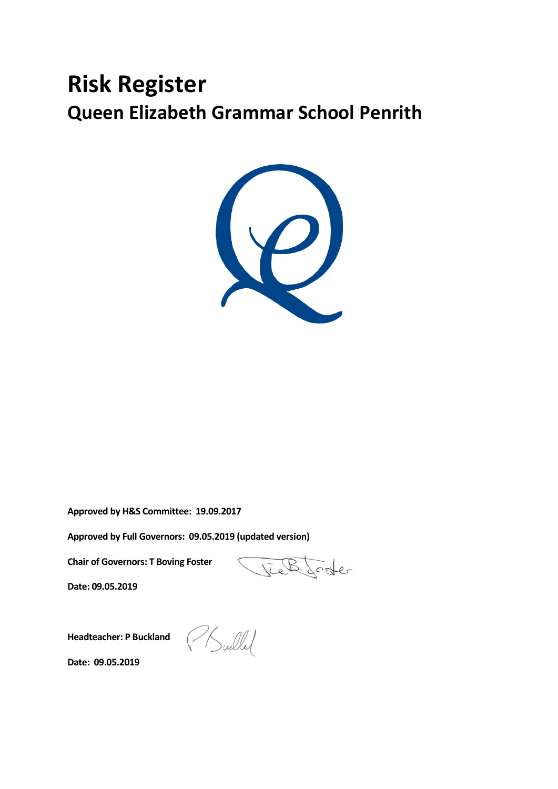# **Risk Register Queen Elizabeth Grammar School Penrith**



**Approved by H&S Committee: 19.09.2017**

**Approved by Full Governors: 09.05.2019 (updated version)**

**Chair of Governors: T Boving Foster**

**Date: 09.05.2019**

Jeel Lode

**Headteacher: P Buckland**

PSullal

**Date: 09.05.2019**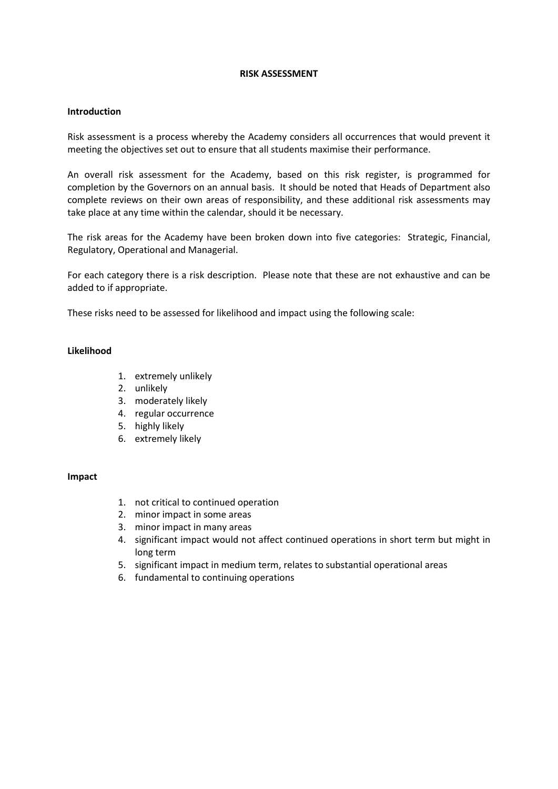#### **RISK ASSESSMENT**

#### **Introduction**

Risk assessment is a process whereby the Academy considers all occurrences that would prevent it meeting the objectives set out to ensure that all students maximise their performance.

An overall risk assessment for the Academy, based on this risk register, is programmed for completion by the Governors on an annual basis. It should be noted that Heads of Department also complete reviews on their own areas of responsibility, and these additional risk assessments may take place at any time within the calendar, should it be necessary.

The risk areas for the Academy have been broken down into five categories: Strategic, Financial, Regulatory, Operational and Managerial.

For each category there is a risk description. Please note that these are not exhaustive and can be added to if appropriate.

These risks need to be assessed for likelihood and impact using the following scale:

#### **Likelihood**

- 1. extremely unlikely
- 2. unlikely
- 3. moderately likely
- 4. regular occurrence
- 5. highly likely
- 6. extremely likely

#### **Impact**

- 1. not critical to continued operation
- 2. minor impact in some areas
- 3. minor impact in many areas
- 4. significant impact would not affect continued operations in short term but might in long term
- 5. significant impact in medium term, relates to substantial operational areas
- 6. fundamental to continuing operations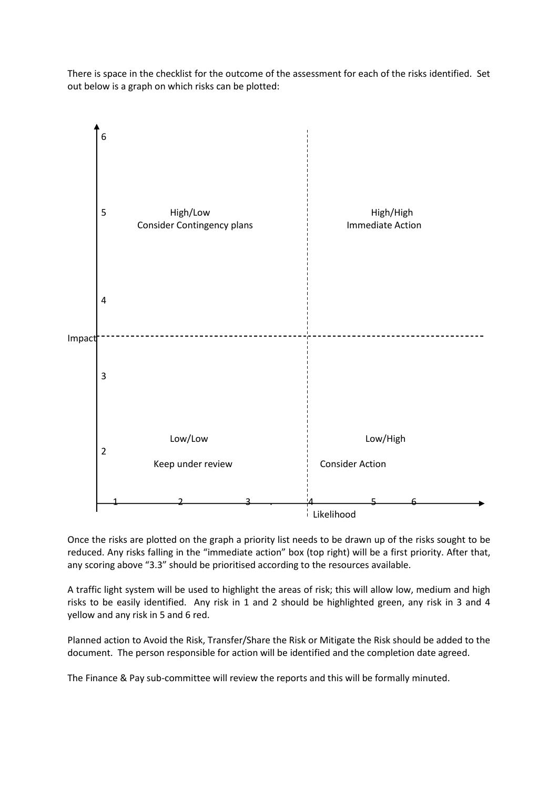There is space in the checklist for the outcome of the assessment for each of the risks identified. Set out below is a graph on which risks can be plotted:



Once the risks are plotted on the graph a priority list needs to be drawn up of the risks sought to be reduced. Any risks falling in the "immediate action" box (top right) will be a first priority. After that, any scoring above "3.3" should be prioritised according to the resources available.

A traffic light system will be used to highlight the areas of risk; this will allow low, medium and high risks to be easily identified. Any risk in 1 and 2 should be highlighted green, any risk in 3 and 4 yellow and any risk in 5 and 6 red.

Planned action to Avoid the Risk, Transfer/Share the Risk or Mitigate the Risk should be added to the document. The person responsible for action will be identified and the completion date agreed.

The Finance & Pay sub-committee will review the reports and this will be formally minuted.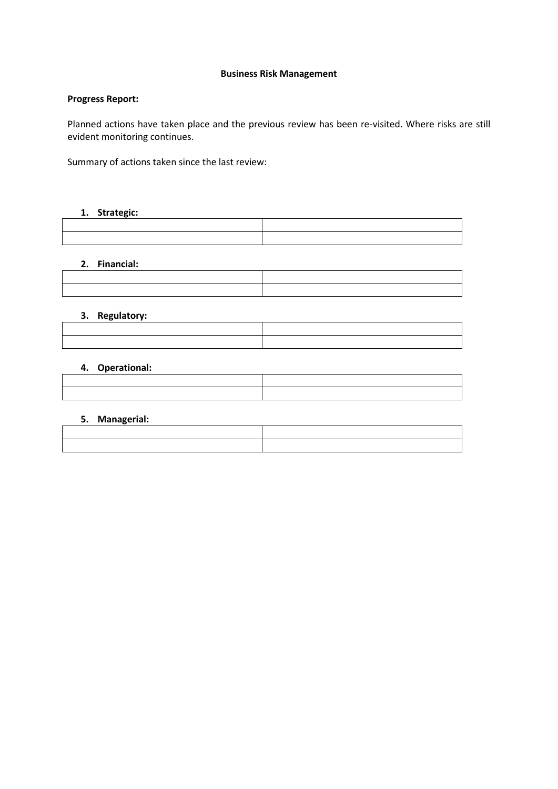## **Business Risk Management**

## **Progress Report:**

Planned actions have taken place and the previous review has been re-visited. Where risks are still evident monitoring continues.

Summary of actions taken since the last review:

## **1. Strategic:**

## **2. Financial:**

### **3. Regulatory:**

## **4. Operational:**

| the contract of the contract of the contract of the contract of the contract of the contract of the contract of       |  |
|-----------------------------------------------------------------------------------------------------------------------|--|
| <u> 1989 - Johann Harry Harry Harry Harry Harry Harry Harry Harry Harry Harry Harry Harry Harry Harry Harry Harry</u> |  |
|                                                                                                                       |  |
|                                                                                                                       |  |

## **5. Managerial:**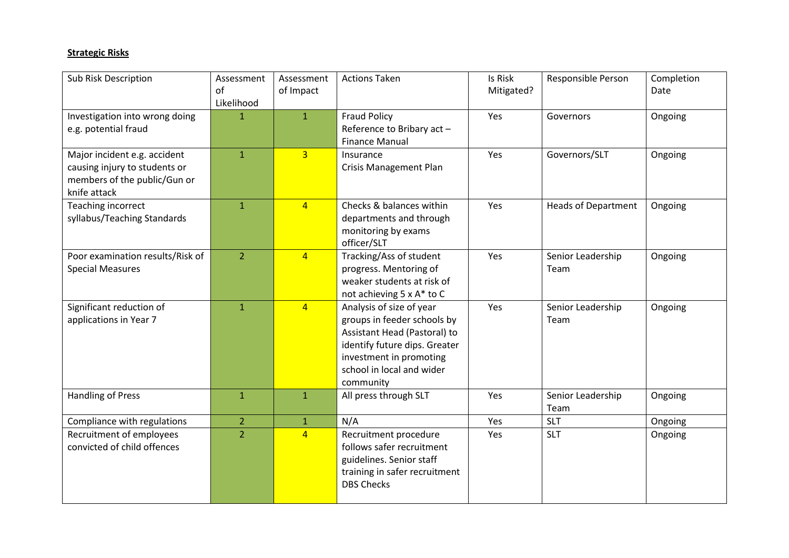# **Strategic Risks**

| <b>Sub Risk Description</b>                                                                                   | Assessment<br>of<br>Likelihood | Assessment<br>of Impact | <b>Actions Taken</b>                                                                                                                                                                          | Is Risk<br>Mitigated? | Responsible Person         | Completion<br>Date |
|---------------------------------------------------------------------------------------------------------------|--------------------------------|-------------------------|-----------------------------------------------------------------------------------------------------------------------------------------------------------------------------------------------|-----------------------|----------------------------|--------------------|
| Investigation into wrong doing<br>e.g. potential fraud                                                        | $\mathbf{1}$                   | $\mathbf{1}$            | <b>Fraud Policy</b><br>Reference to Bribary act -<br><b>Finance Manual</b>                                                                                                                    | Yes                   | Governors                  | Ongoing            |
| Major incident e.g. accident<br>causing injury to students or<br>members of the public/Gun or<br>knife attack | $\mathbf{1}$                   | $\overline{3}$          | Insurance<br><b>Crisis Management Plan</b>                                                                                                                                                    | Yes                   | Governors/SLT              | Ongoing            |
| Teaching incorrect<br>syllabus/Teaching Standards                                                             | $\mathbf{1}$                   | $\overline{4}$          | Checks & balances within<br>departments and through<br>monitoring by exams<br>officer/SLT                                                                                                     | Yes                   | <b>Heads of Department</b> | Ongoing            |
| Poor examination results/Risk of<br><b>Special Measures</b>                                                   | $\overline{2}$                 | $\overline{4}$          | Tracking/Ass of student<br>progress. Mentoring of<br>weaker students at risk of<br>not achieving 5 x A* to C                                                                                  | Yes                   | Senior Leadership<br>Team  | Ongoing            |
| Significant reduction of<br>applications in Year 7                                                            | $\mathbf{1}$                   | $\overline{4}$          | Analysis of size of year<br>groups in feeder schools by<br>Assistant Head (Pastoral) to<br>identify future dips. Greater<br>investment in promoting<br>school in local and wider<br>community | Yes                   | Senior Leadership<br>Team  | Ongoing            |
| Handling of Press                                                                                             | $\mathbf{1}$                   | $\mathbf{1}$            | All press through SLT                                                                                                                                                                         | Yes                   | Senior Leadership<br>Team  | Ongoing            |
| Compliance with regulations                                                                                   | $\overline{2}$                 | $\mathbf{1}$            | N/A                                                                                                                                                                                           | Yes                   | <b>SLT</b>                 | Ongoing            |
| Recruitment of employees<br>convicted of child offences                                                       | $\overline{2}$                 | $\overline{4}$          | Recruitment procedure<br>follows safer recruitment<br>guidelines. Senior staff<br>training in safer recruitment<br><b>DBS Checks</b>                                                          | Yes                   | <b>SLT</b>                 | Ongoing            |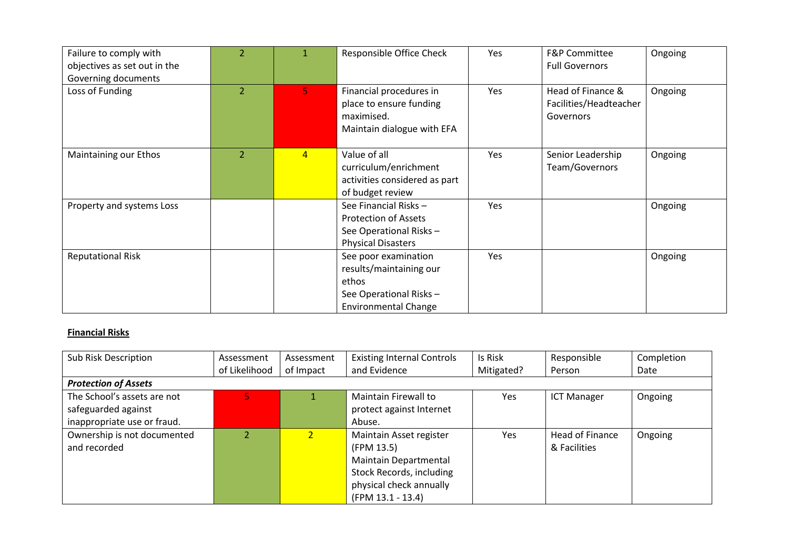| Failure to comply with<br>objectives as set out in the<br>Governing documents | 2 | 1              | Responsible Office Check                                                                                           | Yes | <b>F&amp;P Committee</b><br><b>Full Governors</b>        | Ongoing |
|-------------------------------------------------------------------------------|---|----------------|--------------------------------------------------------------------------------------------------------------------|-----|----------------------------------------------------------|---------|
| Loss of Funding                                                               | 2 | 5.             | Financial procedures in<br>place to ensure funding<br>maximised.<br>Maintain dialogue with EFA                     | Yes | Head of Finance &<br>Facilities/Headteacher<br>Governors | Ongoing |
| Maintaining our Ethos                                                         | 2 | $\overline{4}$ | Value of all<br>curriculum/enrichment<br>activities considered as part<br>of budget review                         | Yes | Senior Leadership<br>Team/Governors                      | Ongoing |
| Property and systems Loss                                                     |   |                | See Financial Risks -<br><b>Protection of Assets</b><br>See Operational Risks -<br><b>Physical Disasters</b>       | Yes |                                                          | Ongoing |
| <b>Reputational Risk</b>                                                      |   |                | See poor examination<br>results/maintaining our<br>ethos<br>See Operational Risks -<br><b>Environmental Change</b> | Yes |                                                          | Ongoing |

## **Financial Risks**

| Sub Risk Description        | Assessment    | Assessment     | <b>Existing Internal Controls</b> | Is Risk    | Responsible            | Completion |  |
|-----------------------------|---------------|----------------|-----------------------------------|------------|------------------------|------------|--|
|                             | of Likelihood | of Impact      | and Evidence                      | Mitigated? | Person                 | Date       |  |
| <b>Protection of Assets</b> |               |                |                                   |            |                        |            |  |
| The School's assets are not |               |                | Maintain Firewall to              | Yes        | <b>ICT Manager</b>     | Ongoing    |  |
| safeguarded against         |               |                | protect against Internet          |            |                        |            |  |
| inappropriate use or fraud. |               |                | Abuse.                            |            |                        |            |  |
| Ownership is not documented |               | $\overline{2}$ | Maintain Asset register           | Yes        | <b>Head of Finance</b> | Ongoing    |  |
| and recorded                |               |                | (FPM 13.5)                        |            | & Facilities           |            |  |
|                             |               |                | <b>Maintain Departmental</b>      |            |                        |            |  |
|                             |               |                | Stock Records, including          |            |                        |            |  |
|                             |               |                | physical check annually           |            |                        |            |  |
|                             |               |                | (FPM 13.1 - 13.4)                 |            |                        |            |  |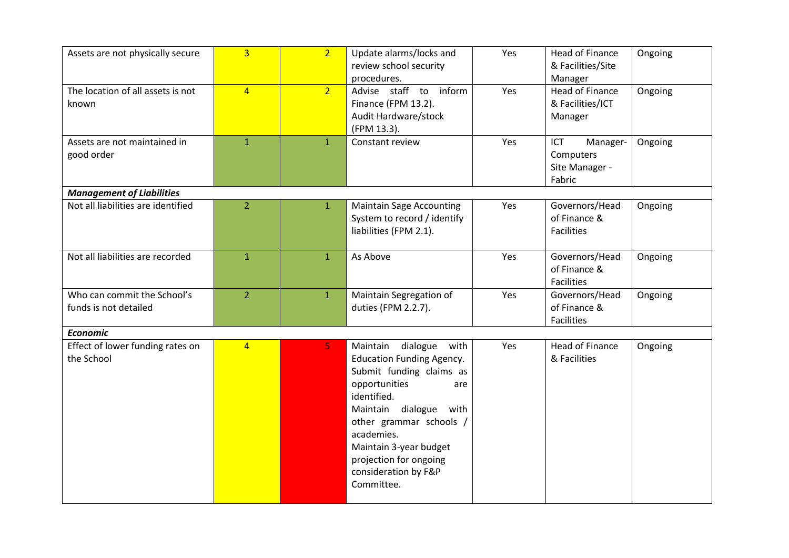| Assets are not physically secure                     | $\overline{3}$ | $\overline{2}$ | Update alarms/locks and<br>review school security<br>procedures.                                                                                                                                                                                                                                 | Yes | <b>Head of Finance</b><br>& Facilities/Site<br>Manager   | Ongoing |
|------------------------------------------------------|----------------|----------------|--------------------------------------------------------------------------------------------------------------------------------------------------------------------------------------------------------------------------------------------------------------------------------------------------|-----|----------------------------------------------------------|---------|
| The location of all assets is not<br>known           | $\overline{4}$ | 2 <sup>1</sup> | Advise staff to inform<br>Finance (FPM 13.2).<br>Audit Hardware/stock<br>(FPM 13.3).                                                                                                                                                                                                             | Yes | <b>Head of Finance</b><br>& Facilities/ICT<br>Manager    | Ongoing |
| Assets are not maintained in<br>good order           | $\mathbf{1}$   | $\mathbf{1}$   | Constant review                                                                                                                                                                                                                                                                                  | Yes | ICT<br>Manager-<br>Computers<br>Site Manager -<br>Fabric | Ongoing |
| <b>Management of Liabilities</b>                     |                |                |                                                                                                                                                                                                                                                                                                  |     |                                                          |         |
| Not all liabilities are identified                   | $\overline{2}$ | $\mathbf{1}$   | <b>Maintain Sage Accounting</b><br>System to record / identify<br>liabilities (FPM 2.1).                                                                                                                                                                                                         | Yes | Governors/Head<br>of Finance &<br><b>Facilities</b>      | Ongoing |
| Not all liabilities are recorded                     | $\mathbf{1}$   | $\mathbf{1}$   | As Above                                                                                                                                                                                                                                                                                         | Yes | Governors/Head<br>of Finance &<br><b>Facilities</b>      | Ongoing |
| Who can commit the School's<br>funds is not detailed | $\overline{2}$ | $\mathbf{1}$   | Maintain Segregation of<br>duties (FPM 2.2.7).                                                                                                                                                                                                                                                   | Yes | Governors/Head<br>of Finance &<br>Facilities             | Ongoing |
| <b>Economic</b>                                      |                |                |                                                                                                                                                                                                                                                                                                  |     |                                                          |         |
| Effect of lower funding rates on<br>the School       | $\overline{4}$ | 5              | Maintain dialogue<br>with<br><b>Education Funding Agency.</b><br>Submit funding claims as<br>opportunities<br>are<br>identified.<br>Maintain dialogue<br>with<br>other grammar schools /<br>academies.<br>Maintain 3-year budget<br>projection for ongoing<br>consideration by F&P<br>Committee. | Yes | <b>Head of Finance</b><br>& Facilities                   | Ongoing |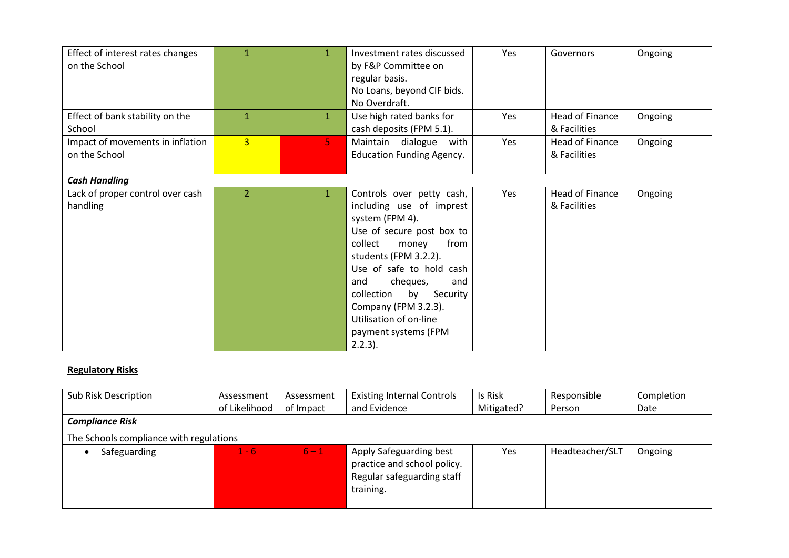|                                  | $\mathbf{1}$   | $\mathbf{1}$   | Investment rates discussed       | Yes | Governors       |         |
|----------------------------------|----------------|----------------|----------------------------------|-----|-----------------|---------|
| Effect of interest rates changes |                |                |                                  |     |                 | Ongoing |
| on the School                    |                |                | by F&P Committee on              |     |                 |         |
|                                  |                |                | regular basis.                   |     |                 |         |
|                                  |                |                | No Loans, beyond CIF bids.       |     |                 |         |
|                                  |                |                | No Overdraft.                    |     |                 |         |
| Effect of bank stability on the  | 1              | $\mathbf{1}$   | Use high rated banks for         | Yes | Head of Finance | Ongoing |
| School                           |                |                | cash deposits (FPM 5.1).         |     | & Facilities    |         |
| Impact of movements in inflation | $\overline{3}$ | 5 <sub>1</sub> | Maintain dialogue with           | Yes | Head of Finance | Ongoing |
| on the School                    |                |                | <b>Education Funding Agency.</b> |     | & Facilities    |         |
| <b>Cash Handling</b>             |                |                |                                  |     |                 |         |
| Lack of proper control over cash | 2              | $\mathbf{1}$   | Controls over petty cash,        | Yes | Head of Finance | Ongoing |
| handling                         |                |                | including use of imprest         |     | & Facilities    |         |
|                                  |                |                | system (FPM 4).                  |     |                 |         |
|                                  |                |                | Use of secure post box to        |     |                 |         |
|                                  |                |                | collect<br>from<br>money         |     |                 |         |
|                                  |                |                |                                  |     |                 |         |
|                                  |                |                | students (FPM 3.2.2).            |     |                 |         |
|                                  |                |                | Use of safe to hold cash         |     |                 |         |
|                                  |                |                | cheques,<br>and<br>and           |     |                 |         |
|                                  |                |                | collection<br>by<br>Security     |     |                 |         |
|                                  |                |                | Company (FPM 3.2.3).             |     |                 |         |
|                                  |                |                | Utilisation of on-line           |     |                 |         |
|                                  |                |                | payment systems (FPM             |     |                 |         |
|                                  |                |                | $2.2.3$ ).                       |     |                 |         |

# **Regulatory Risks**

| Sub Risk Description<br><b>Compliance Risk</b> | Assessment<br>of Likelihood | Assessment<br>of Impact | <b>Existing Internal Controls</b><br>and Evidence                                                 | Is Risk<br>Mitigated? | Responsible<br>Person | Completion<br>Date |
|------------------------------------------------|-----------------------------|-------------------------|---------------------------------------------------------------------------------------------------|-----------------------|-----------------------|--------------------|
| The Schools compliance with regulations        |                             |                         |                                                                                                   |                       |                       |                    |
| Safeguarding                                   | 1 - 6                       | $6 - 1$                 | Apply Safeguarding best<br>practice and school policy.<br>Regular safeguarding staff<br>training. | <b>Yes</b>            | Headteacher/SLT       | Ongoing            |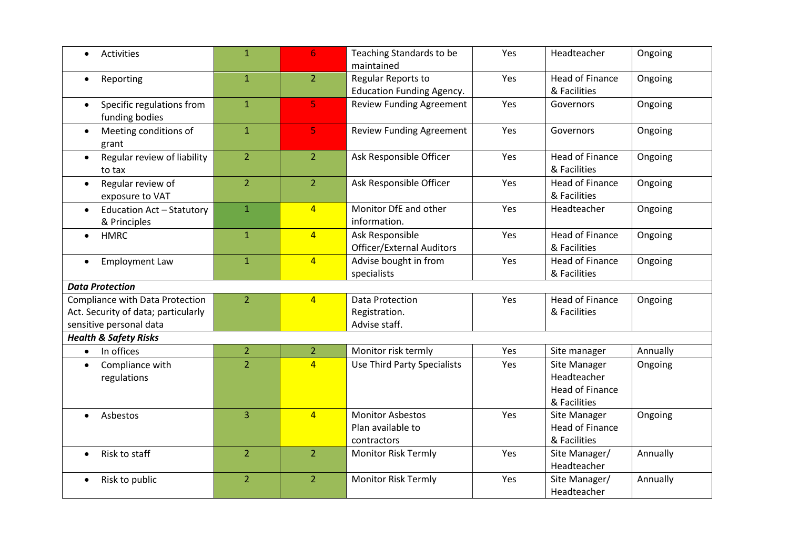| Activities                                                    | $\mathbf{1}$   | 6              | Teaching Standards to be<br>maintained                      | Yes | Headteacher                                                           | Ongoing  |
|---------------------------------------------------------------|----------------|----------------|-------------------------------------------------------------|-----|-----------------------------------------------------------------------|----------|
| Reporting<br>$\bullet$                                        | $\mathbf{1}$   | $\overline{2}$ | Regular Reports to<br><b>Education Funding Agency.</b>      | Yes | <b>Head of Finance</b><br>& Facilities                                | Ongoing  |
| Specific regulations from<br>$\bullet$<br>funding bodies      | $\mathbf{1}$   | 5              | <b>Review Funding Agreement</b>                             | Yes | Governors                                                             | Ongoing  |
| Meeting conditions of<br>$\bullet$<br>grant                   | $\mathbf{1}$   | 5              | <b>Review Funding Agreement</b>                             | Yes | Governors                                                             | Ongoing  |
| Regular review of liability<br>$\bullet$<br>to tax            | $\overline{2}$ | $\overline{2}$ | Ask Responsible Officer                                     | Yes | <b>Head of Finance</b><br>& Facilities                                | Ongoing  |
| Regular review of<br>$\bullet$<br>exposure to VAT             | $\overline{2}$ | $\overline{2}$ | Ask Responsible Officer                                     | Yes | Head of Finance<br>& Facilities                                       | Ongoing  |
| <b>Education Act - Statutory</b><br>$\bullet$<br>& Principles | $\mathbf{1}$   | $\overline{4}$ | Monitor DfE and other<br>information.                       | Yes | Headteacher                                                           | Ongoing  |
| <b>HMRC</b><br>$\bullet$                                      | $\mathbf{1}$   | $\overline{4}$ | Ask Responsible<br><b>Officer/External Auditors</b>         | Yes | <b>Head of Finance</b><br>& Facilities                                | Ongoing  |
| <b>Employment Law</b><br>$\bullet$                            | $\mathbf{1}$   | $\overline{4}$ | Advise bought in from<br>specialists                        | Yes | Head of Finance<br>& Facilities                                       | Ongoing  |
| <b>Data Protection</b>                                        |                |                |                                                             |     |                                                                       |          |
| Compliance with Data Protection                               | $\overline{2}$ | $\overline{4}$ | <b>Data Protection</b>                                      | Yes | <b>Head of Finance</b>                                                | Ongoing  |
| Act. Security of data; particularly                           |                |                | Registration.                                               |     | & Facilities                                                          |          |
| sensitive personal data                                       |                |                | Advise staff.                                               |     |                                                                       |          |
| <b>Health &amp; Safety Risks</b>                              |                |                |                                                             |     |                                                                       |          |
| In offices<br>$\bullet$                                       | $\overline{2}$ | $\overline{2}$ | Monitor risk termly                                         | Yes | Site manager                                                          | Annually |
| Compliance with<br>$\bullet$<br>regulations                   | $\overline{2}$ | $\overline{4}$ | <b>Use Third Party Specialists</b>                          | Yes | Site Manager<br>Headteacher<br><b>Head of Finance</b><br>& Facilities | Ongoing  |
| Asbestos<br>$\bullet$                                         | 3              | $\overline{4}$ | <b>Monitor Asbestos</b><br>Plan available to<br>contractors | Yes | Site Manager<br>Head of Finance<br>& Facilities                       | Ongoing  |
| Risk to staff<br>$\bullet$                                    | $\overline{2}$ | $\overline{2}$ | <b>Monitor Risk Termly</b>                                  | Yes | Site Manager/<br>Headteacher                                          | Annually |
| Risk to public                                                | $\overline{2}$ | $\overline{2}$ | <b>Monitor Risk Termly</b>                                  | Yes | Site Manager/<br>Headteacher                                          | Annually |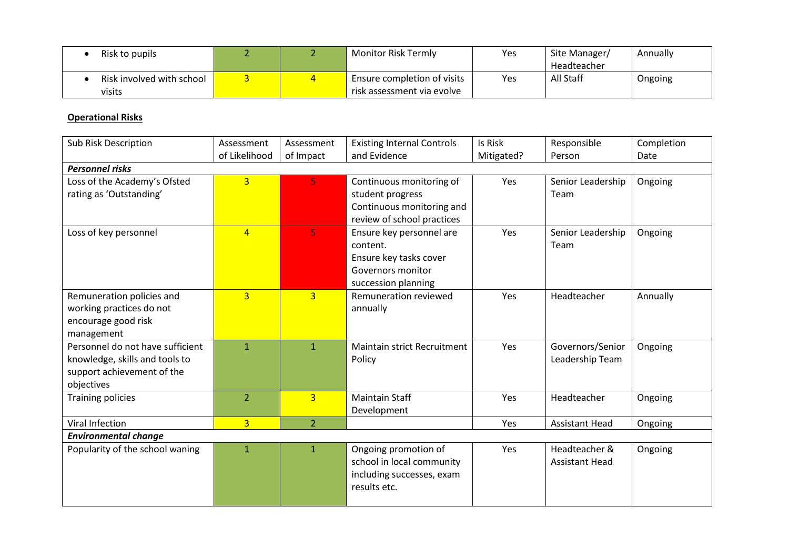| Risk to pupils                      |  | Monitor Risk Termly                                       | Yes | Site Manager/<br>Headteacher | Annually |
|-------------------------------------|--|-----------------------------------------------------------|-----|------------------------------|----------|
| Risk involved with school<br>visits |  | Ensure completion of visits<br>risk assessment via evolve | Yes | All Staff                    | Ongoing  |

# **Operational Risks**

| <b>Sub Risk Description</b>                                                                                    | Assessment<br>of Likelihood | Assessment<br>of Impact | <b>Existing Internal Controls</b><br>and Evidence                                                          | Is Risk<br>Mitigated? | Responsible<br>Person                  | Completion<br>Date |  |  |  |
|----------------------------------------------------------------------------------------------------------------|-----------------------------|-------------------------|------------------------------------------------------------------------------------------------------------|-----------------------|----------------------------------------|--------------------|--|--|--|
| <b>Personnel risks</b>                                                                                         |                             |                         |                                                                                                            |                       |                                        |                    |  |  |  |
| Loss of the Academy's Ofsted<br>rating as 'Outstanding'                                                        | 3 <sup>1</sup>              | 5                       | Continuous monitoring of<br>student progress<br>Continuous monitoring and<br>review of school practices    | Yes                   | Senior Leadership<br>Team              | Ongoing            |  |  |  |
| Loss of key personnel                                                                                          | $\overline{4}$              | 5                       | Ensure key personnel are<br>content.<br>Ensure key tasks cover<br>Governors monitor<br>succession planning | Yes                   | Senior Leadership<br>Team              | Ongoing            |  |  |  |
| Remuneration policies and<br>working practices do not<br>encourage good risk<br>management                     | $\overline{3}$              | $\overline{3}$          | Remuneration reviewed<br>annually                                                                          | Yes                   | Headteacher                            | Annually           |  |  |  |
| Personnel do not have sufficient<br>knowledge, skills and tools to<br>support achievement of the<br>objectives | $\mathbf{1}$                | $\mathbf{1}$            | Maintain strict Recruitment<br>Policy                                                                      | Yes                   | Governors/Senior<br>Leadership Team    | Ongoing            |  |  |  |
| <b>Training policies</b>                                                                                       | $\overline{2}$              | $\overline{3}$          | <b>Maintain Staff</b><br>Development                                                                       | Yes                   | Headteacher                            | Ongoing            |  |  |  |
| Viral Infection                                                                                                | $\overline{3}$              | $\overline{2}$          |                                                                                                            | Yes                   | <b>Assistant Head</b>                  | Ongoing            |  |  |  |
| <b>Environmental change</b>                                                                                    |                             |                         |                                                                                                            |                       |                                        |                    |  |  |  |
| Popularity of the school waning                                                                                | $\mathbf{1}$                | $\mathbf{1}$            | Ongoing promotion of<br>school in local community<br>including successes, exam<br>results etc.             | Yes                   | Headteacher &<br><b>Assistant Head</b> | Ongoing            |  |  |  |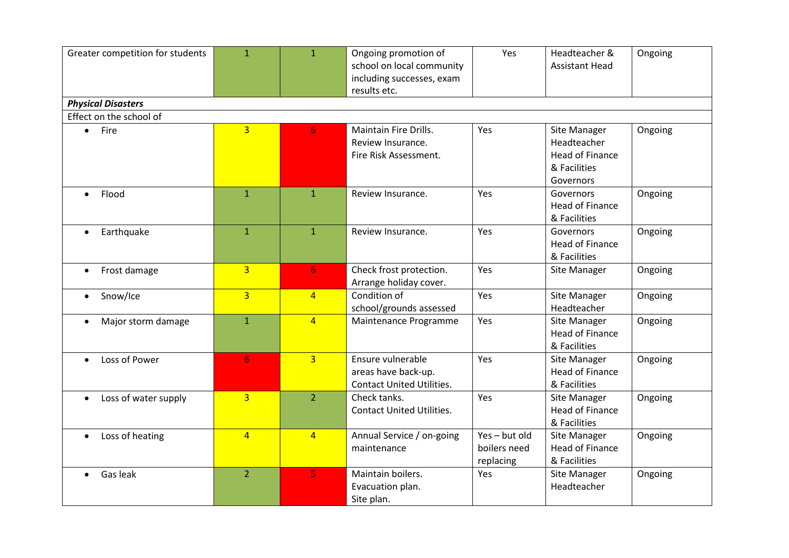| Greater competition for students  | $\mathbf{1}$   | $\mathbf{1}$   | Ongoing promotion of<br>school on local community<br>including successes, exam<br>results etc. | Yes                                      | Headteacher &<br><b>Assistant Head</b>                                             | Ongoing |
|-----------------------------------|----------------|----------------|------------------------------------------------------------------------------------------------|------------------------------------------|------------------------------------------------------------------------------------|---------|
| <b>Physical Disasters</b>         |                |                |                                                                                                |                                          |                                                                                    |         |
| Effect on the school of           |                |                |                                                                                                |                                          |                                                                                    |         |
| Fire<br>$\bullet$                 | $\overline{3}$ | 6              | Maintain Fire Drills.<br>Review Insurance.<br>Fire Risk Assessment.                            | Yes                                      | Site Manager<br>Headteacher<br><b>Head of Finance</b><br>& Facilities<br>Governors | Ongoing |
| Flood                             | $\mathbf{1}$   | $\mathbf{1}$   | Review Insurance.                                                                              | Yes                                      | Governors<br><b>Head of Finance</b><br>& Facilities                                | Ongoing |
| Earthquake<br>$\bullet$           | $\mathbf{1}$   | $\mathbf{1}$   | Review Insurance.                                                                              | Yes                                      | Governors<br><b>Head of Finance</b><br>& Facilities                                | Ongoing |
| Frost damage<br>$\bullet$         | $\overline{3}$ | 6 <sup>1</sup> | Check frost protection.<br>Arrange holiday cover.                                              | Yes                                      | Site Manager                                                                       | Ongoing |
| Snow/Ice<br>$\bullet$             | $\overline{3}$ | $\overline{4}$ | Condition of<br>school/grounds assessed                                                        | Yes                                      | Site Manager<br>Headteacher                                                        | Ongoing |
| Major storm damage                | $\overline{1}$ | $\overline{4}$ | Maintenance Programme                                                                          | Yes                                      | Site Manager<br>Head of Finance<br>& Facilities                                    | Ongoing |
| Loss of Power                     | 6              | $\overline{3}$ | Ensure vulnerable<br>areas have back-up.<br><b>Contact United Utilities.</b>                   | Yes                                      | Site Manager<br><b>Head of Finance</b><br>& Facilities                             | Ongoing |
| Loss of water supply<br>$\bullet$ | $\overline{3}$ | 2 <sup>1</sup> | Check tanks.<br><b>Contact United Utilities.</b>                                               | Yes                                      | Site Manager<br>Head of Finance<br>& Facilities                                    | Ongoing |
| Loss of heating<br>$\bullet$      | $\overline{4}$ | $\overline{4}$ | Annual Service / on-going<br>maintenance                                                       | Yes-but old<br>boilers need<br>replacing | <b>Site Manager</b><br><b>Head of Finance</b><br>& Facilities                      | Ongoing |
| Gas leak                          | $\overline{2}$ | 5              | Maintain boilers.<br>Evacuation plan.<br>Site plan.                                            | Yes                                      | Site Manager<br>Headteacher                                                        | Ongoing |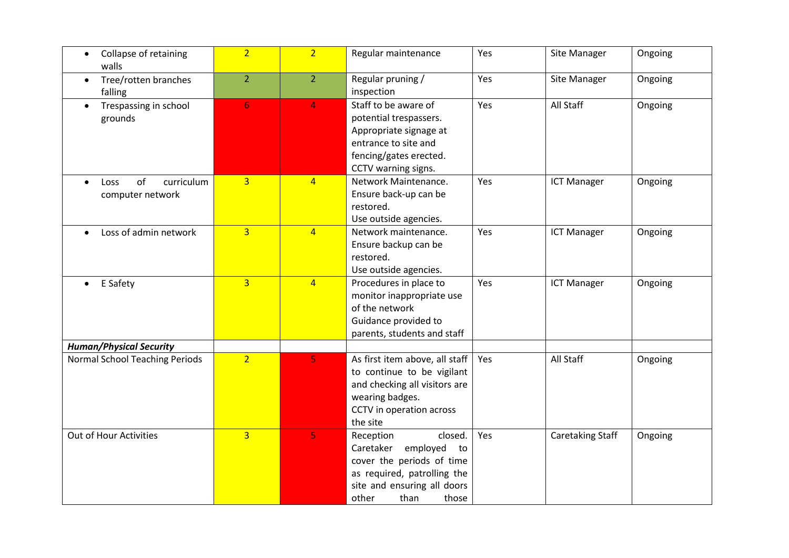| Collapse of retaining<br>$\bullet$<br>walls   | $\overline{2}$ | 2 <sup>1</sup> | Regular maintenance                                                                                                                                                   | Yes | Site Manager            | Ongoing |
|-----------------------------------------------|----------------|----------------|-----------------------------------------------------------------------------------------------------------------------------------------------------------------------|-----|-------------------------|---------|
| Tree/rotten branches<br>$\bullet$<br>falling  | $\overline{2}$ | 2 <sup>2</sup> | Regular pruning /<br>inspection                                                                                                                                       | Yes | Site Manager            | Ongoing |
| Trespassing in school<br>$\bullet$<br>grounds | 6 <sup>1</sup> | $\overline{4}$ | Staff to be aware of<br>potential trespassers.<br>Appropriate signage at<br>entrance to site and<br>fencing/gates erected.<br>CCTV warning signs.                     | Yes | All Staff               | Ongoing |
| of<br>curriculum<br>Loss<br>computer network  | $\overline{3}$ | $\overline{4}$ | Network Maintenance.<br>Ensure back-up can be<br>restored.<br>Use outside agencies.                                                                                   | Yes | <b>ICT Manager</b>      | Ongoing |
| Loss of admin network<br>$\bullet$            | $\overline{3}$ | $\overline{4}$ | Network maintenance.<br>Ensure backup can be<br>restored.<br>Use outside agencies.                                                                                    | Yes | <b>ICT Manager</b>      | Ongoing |
| E Safety<br>$\bullet$                         | $\overline{3}$ | $\overline{4}$ | Procedures in place to<br>monitor inappropriate use<br>of the network<br>Guidance provided to<br>parents, students and staff                                          | Yes | <b>ICT Manager</b>      | Ongoing |
| <b>Human/Physical Security</b>                |                |                |                                                                                                                                                                       |     |                         |         |
| Normal School Teaching Periods                | $\overline{2}$ | 5              | As first item above, all staff<br>to continue to be vigilant<br>and checking all visitors are<br>wearing badges.<br>CCTV in operation across<br>the site              | Yes | All Staff               | Ongoing |
| Out of Hour Activities                        | $\overline{3}$ | 5              | Reception<br>closed.<br>Caretaker employed<br>to<br>cover the periods of time<br>as required, patrolling the<br>site and ensuring all doors<br>other<br>than<br>those | Yes | <b>Caretaking Staff</b> | Ongoing |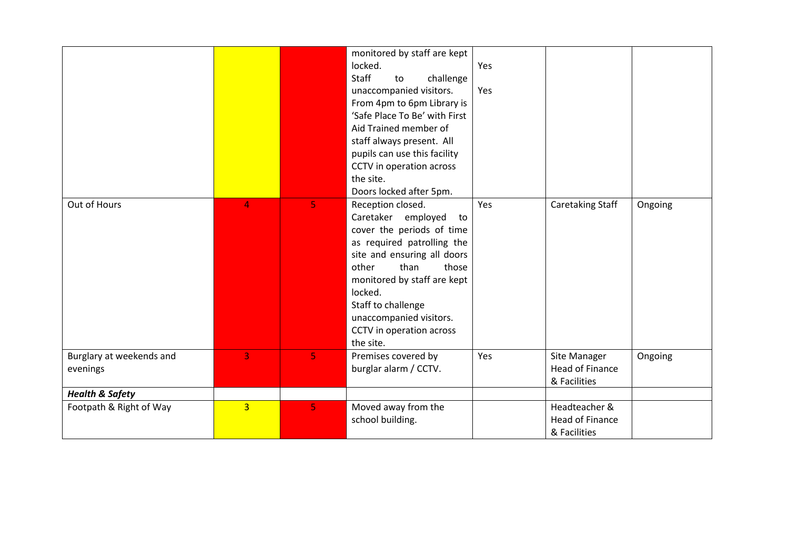|                                      |                |    | monitored by staff are kept<br>locked.<br><b>Staff</b><br>challenge<br>to<br>unaccompanied visitors.<br>From 4pm to 6pm Library is<br>'Safe Place To Be' with First<br>Aid Trained member of<br>staff always present. All<br>pupils can use this facility<br>CCTV in operation across<br>the site.<br>Doors locked after 5pm. | Yes<br>Yes |                                                         |         |
|--------------------------------------|----------------|----|-------------------------------------------------------------------------------------------------------------------------------------------------------------------------------------------------------------------------------------------------------------------------------------------------------------------------------|------------|---------------------------------------------------------|---------|
| Out of Hours                         | 4              | 5. | Reception closed.<br>Caretaker employed<br>to<br>cover the periods of time<br>as required patrolling the<br>site and ensuring all doors<br>than<br>other<br>those<br>monitored by staff are kept<br>locked.<br>Staff to challenge<br>unaccompanied visitors.<br>CCTV in operation across<br>the site.                         | Yes        | Caretaking Staff                                        | Ongoing |
| Burglary at weekends and<br>evenings | 3 <sup>1</sup> | 5  | Premises covered by<br>burglar alarm / CCTV.                                                                                                                                                                                                                                                                                  | Yes        | Site Manager<br><b>Head of Finance</b><br>& Facilities  | Ongoing |
| <b>Health &amp; Safety</b>           |                |    |                                                                                                                                                                                                                                                                                                                               |            |                                                         |         |
| Footpath & Right of Way              | $\overline{3}$ | 5. | Moved away from the<br>school building.                                                                                                                                                                                                                                                                                       |            | Headteacher &<br><b>Head of Finance</b><br>& Facilities |         |